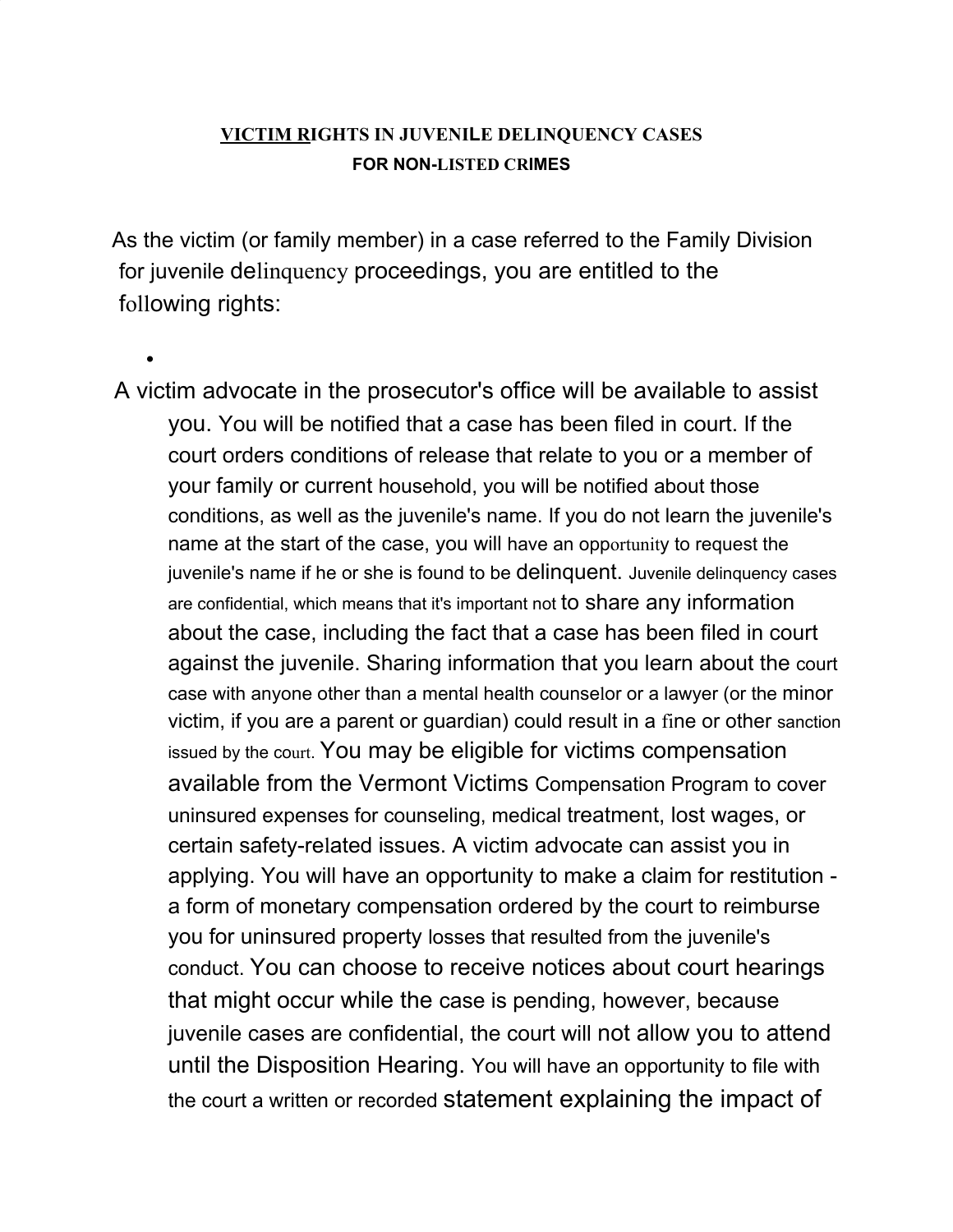## **VICTIM RIGHTS IN JUVENILE DELINQUENCY CASES FOR NON-LISTED CRIMES**

As the victim (or family member) in a case referred to the Family Division for juvenile delinquency proceedings, you are entitled to the following rights:

• A victim advocate in the prosecutor's office will be available to assist you. You will be notified that a case has been filed in court. If the court orders conditions of release that relate to you or a member of your family or current household, you will be notified about those conditions, as well as the juvenile's name. If you do not learn the juvenile's name at the start of the case, you will have an opportunity to request the juvenile's name if he or she is found to be delinquent. Juvenile delinquency cases are confidential, which means that it's important not to share any information about the case, including the fact that a case has been filed in court against the juvenile. Sharing information that you learn about the court case with anyone other than a mental health counselor or a lawyer (or the minor victim, if you are a parent or guardian) could result in a fine or other sanction issued by the court. You may be eligible for victims compensation available from the Vermont Victims Compensation Program to cover uninsured expenses for counseling, medical treatment, lost wages, or certain safety-related issues. A victim advocate can assist you in applying. You will have an opportunity to make a claim for restitution a form of monetary compensation ordered by the court to reimburse you for uninsured property losses that resulted from the juvenile's conduct. You can choose to receive notices about court hearings that might occur while the case is pending, however, because juvenile cases are confidential, the court will not allow you to attend until the Disposition Hearing. You will have an opportunity to file with the court a written or recorded statement explaining the impact of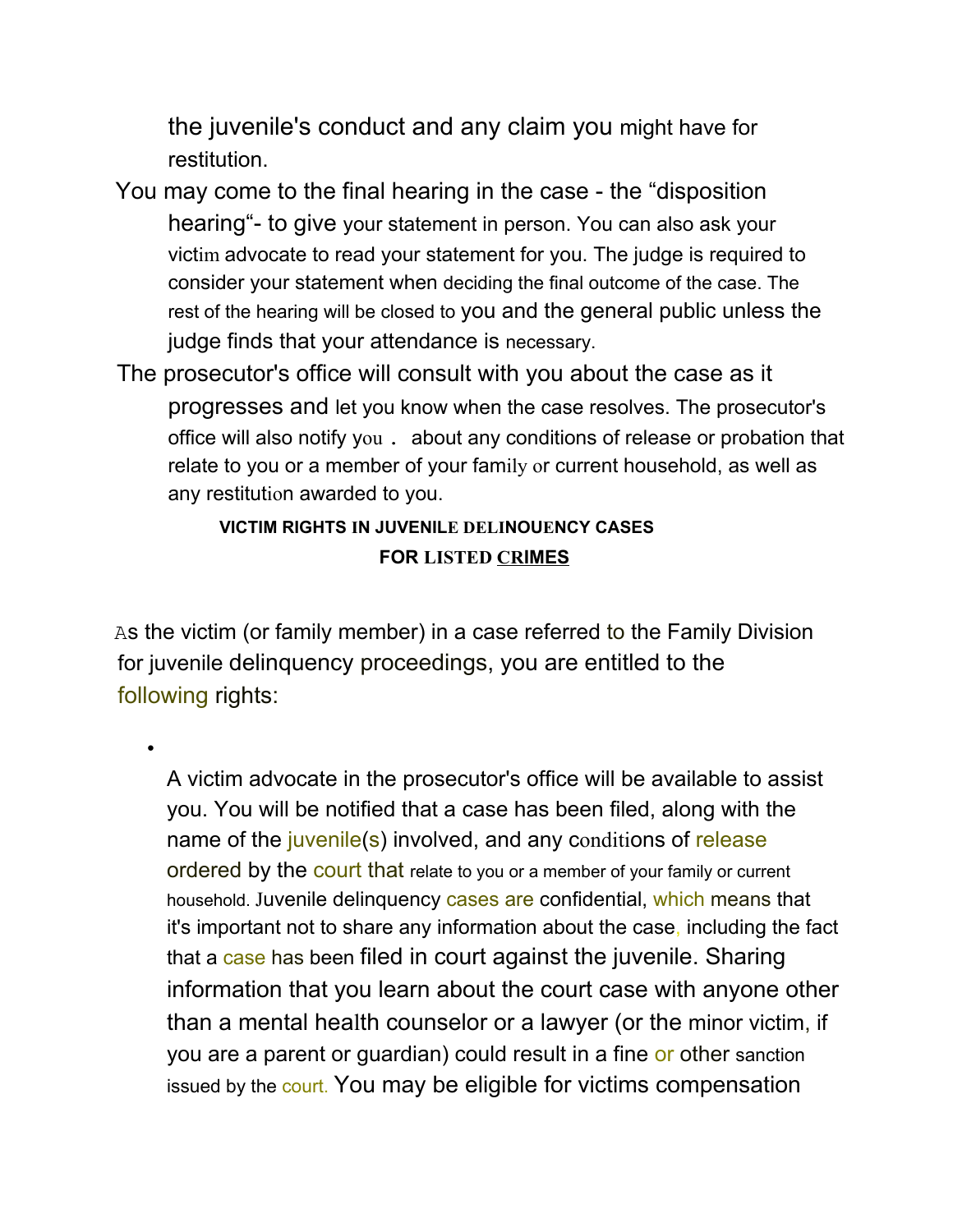the juvenile's conduct and any claim you might have for restitution.

- You may come to the final hearing in the case the "disposition hearing"- to give your statement in person. You can also ask your victim advocate to read your statement for you. The judge is required to consider your statement when deciding the final outcome of the case. The rest of the hearing will be closed to you and the general public unless the judge finds that your attendance is necessary.
- The prosecutor's office will consult with you about the case as it progresses and let you know when the case resolves. The prosecutor's office will also notify you . about any conditions of release or probation that relate to you or a member of your family or current household, as well as any restitution awarded to you.

## **VICTIM RIGHTS IN JUVENILE DELINOUENCY CASES FOR LISTED CRIMES**

As the victim (or family member) in a case referred to the Family Division for juvenile delinquency proceedings, you are entitled to the following rights:

•

A victim advocate in the prosecutor's office will be available to assist you. You will be notified that a case has been filed, along with the name of the *juvenile(s)* involved, and any conditions of release ordered by the court that relate to you or a member of your family or current household. Juvenile delinquency cases are confidential, which means that it's important not to share any information about the case, including the fact that a case has been filed in court against the juvenile. Sharing information that you learn about the court case with anyone other than a mental health counselor or a lawyer (or the minor victim, if you are a parent or guardian) could result in a fine or other sanction issued by the court. You may be eligible for victims compensation